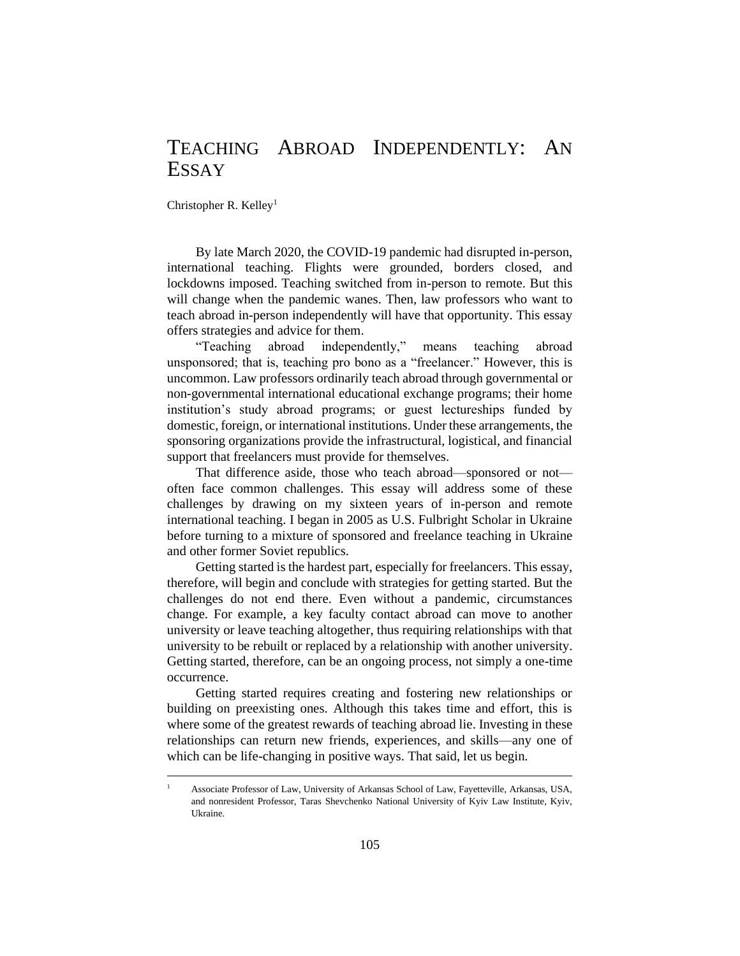## TEACHING ABROAD INDEPENDENTLY: AN ESSAY

Christopher R. Kelley<sup>1</sup>

By late March 2020, the COVID-19 pandemic had disrupted in-person, international teaching. Flights were grounded, borders closed, and lockdowns imposed. Teaching switched from in-person to remote. But this will change when the pandemic wanes. Then, law professors who want to teach abroad in-person independently will have that opportunity. This essay offers strategies and advice for them.

"Teaching abroad independently," means teaching abroad unsponsored; that is, teaching pro bono as a "freelancer." However, this is uncommon. Law professors ordinarily teach abroad through governmental or non-governmental international educational exchange programs; their home institution's study abroad programs; or guest lectureships funded by domestic, foreign, or international institutions. Under these arrangements, the sponsoring organizations provide the infrastructural, logistical, and financial support that freelancers must provide for themselves.

That difference aside, those who teach abroad—sponsored or not often face common challenges. This essay will address some of these challenges by drawing on my sixteen years of in-person and remote international teaching. I began in 2005 as U.S. Fulbright Scholar in Ukraine before turning to a mixture of sponsored and freelance teaching in Ukraine and other former Soviet republics.

Getting started is the hardest part, especially for freelancers. This essay, therefore, will begin and conclude with strategies for getting started. But the challenges do not end there. Even without a pandemic, circumstances change. For example, a key faculty contact abroad can move to another university or leave teaching altogether, thus requiring relationships with that university to be rebuilt or replaced by a relationship with another university. Getting started, therefore, can be an ongoing process, not simply a one-time occurrence.

Getting started requires creating and fostering new relationships or building on preexisting ones. Although this takes time and effort, this is where some of the greatest rewards of teaching abroad lie. Investing in these relationships can return new friends, experiences, and skills—any one of which can be life-changing in positive ways. That said, let us begin.

<sup>1</sup> Associate Professor of Law, University of Arkansas School of Law, Fayetteville, Arkansas, USA, and nonresident Professor, Taras Shevchenko National University of Kyiv Law Institute, Kyiv, Ukraine.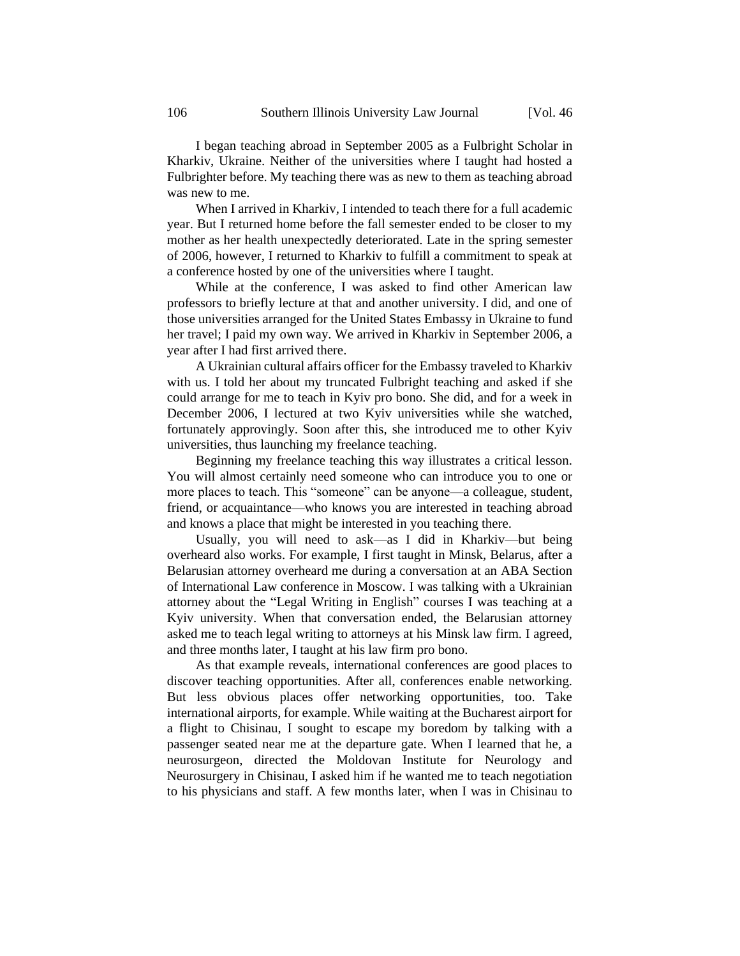I began teaching abroad in September 2005 as a Fulbright Scholar in Kharkiv, Ukraine. Neither of the universities where I taught had hosted a Fulbrighter before. My teaching there was as new to them as teaching abroad was new to me.

When I arrived in Kharkiv, I intended to teach there for a full academic year. But I returned home before the fall semester ended to be closer to my mother as her health unexpectedly deteriorated. Late in the spring semester of 2006, however, I returned to Kharkiv to fulfill a commitment to speak at a conference hosted by one of the universities where I taught.

While at the conference, I was asked to find other American law professors to briefly lecture at that and another university. I did, and one of those universities arranged for the United States Embassy in Ukraine to fund her travel; I paid my own way. We arrived in Kharkiv in September 2006, a year after I had first arrived there.

A Ukrainian cultural affairs officer for the Embassy traveled to Kharkiv with us. I told her about my truncated Fulbright teaching and asked if she could arrange for me to teach in Kyiv pro bono. She did, and for a week in December 2006, I lectured at two Kyiv universities while she watched, fortunately approvingly. Soon after this, she introduced me to other Kyiv universities, thus launching my freelance teaching.

Beginning my freelance teaching this way illustrates a critical lesson. You will almost certainly need someone who can introduce you to one or more places to teach. This "someone" can be anyone—a colleague, student, friend, or acquaintance—who knows you are interested in teaching abroad and knows a place that might be interested in you teaching there.

Usually, you will need to ask—as I did in Kharkiv—but being overheard also works. For example, I first taught in Minsk, Belarus, after a Belarusian attorney overheard me during a conversation at an ABA Section of International Law conference in Moscow. I was talking with a Ukrainian attorney about the "Legal Writing in English" courses I was teaching at a Kyiv university. When that conversation ended, the Belarusian attorney asked me to teach legal writing to attorneys at his Minsk law firm. I agreed, and three months later, I taught at his law firm pro bono.

As that example reveals, international conferences are good places to discover teaching opportunities. After all, conferences enable networking. But less obvious places offer networking opportunities, too. Take international airports, for example. While waiting at the Bucharest airport for a flight to Chisinau, I sought to escape my boredom by talking with a passenger seated near me at the departure gate. When I learned that he, a neurosurgeon, directed the Moldovan Institute for Neurology and Neurosurgery in Chisinau, I asked him if he wanted me to teach negotiation to his physicians and staff. A few months later, when I was in Chisinau to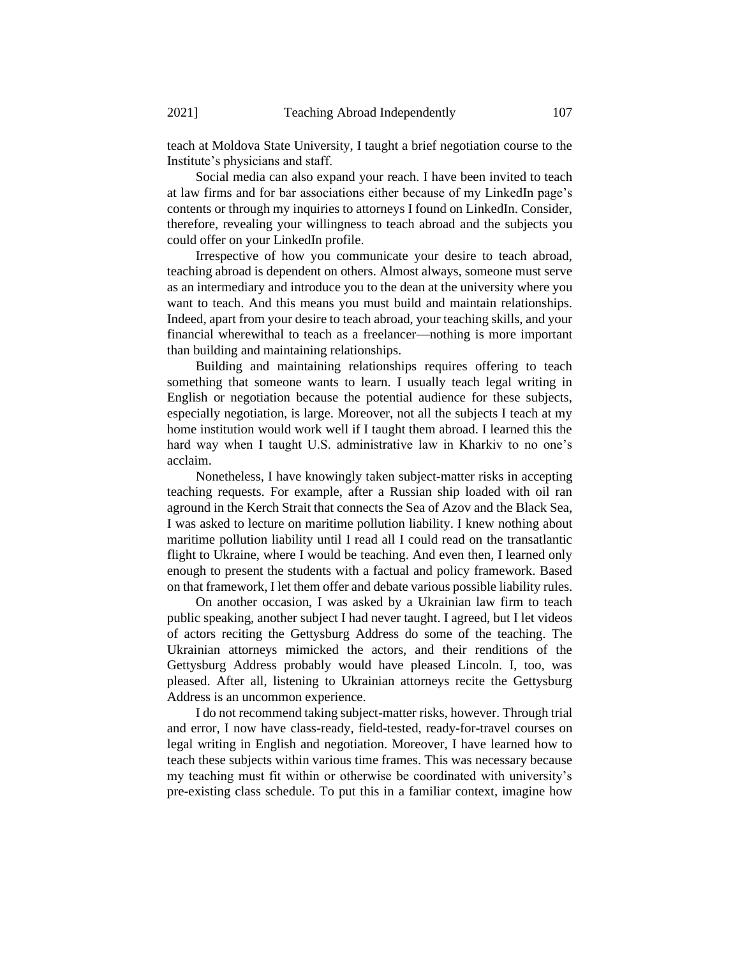teach at Moldova State University, I taught a brief negotiation course to the Institute's physicians and staff.

Social media can also expand your reach. I have been invited to teach at law firms and for bar associations either because of my LinkedIn page's contents or through my inquiries to attorneys I found on LinkedIn. Consider, therefore, revealing your willingness to teach abroad and the subjects you could offer on your LinkedIn profile.

Irrespective of how you communicate your desire to teach abroad, teaching abroad is dependent on others. Almost always, someone must serve as an intermediary and introduce you to the dean at the university where you want to teach. And this means you must build and maintain relationships. Indeed, apart from your desire to teach abroad, your teaching skills, and your financial wherewithal to teach as a freelancer—nothing is more important than building and maintaining relationships.

Building and maintaining relationships requires offering to teach something that someone wants to learn. I usually teach legal writing in English or negotiation because the potential audience for these subjects, especially negotiation, is large. Moreover, not all the subjects I teach at my home institution would work well if I taught them abroad. I learned this the hard way when I taught U.S. administrative law in Kharkiv to no one's acclaim.

Nonetheless, I have knowingly taken subject-matter risks in accepting teaching requests. For example, after a Russian ship loaded with oil ran aground in the Kerch Strait that connects the Sea of Azov and the Black Sea, I was asked to lecture on maritime pollution liability. I knew nothing about maritime pollution liability until I read all I could read on the transatlantic flight to Ukraine, where I would be teaching. And even then, I learned only enough to present the students with a factual and policy framework. Based on that framework, I let them offer and debate various possible liability rules.

On another occasion, I was asked by a Ukrainian law firm to teach public speaking, another subject I had never taught. I agreed, but I let videos of actors reciting the Gettysburg Address do some of the teaching. The Ukrainian attorneys mimicked the actors, and their renditions of the Gettysburg Address probably would have pleased Lincoln. I, too, was pleased. After all, listening to Ukrainian attorneys recite the Gettysburg Address is an uncommon experience.

I do not recommend taking subject-matter risks, however. Through trial and error, I now have class-ready, field-tested, ready-for-travel courses on legal writing in English and negotiation. Moreover, I have learned how to teach these subjects within various time frames. This was necessary because my teaching must fit within or otherwise be coordinated with university's pre-existing class schedule. To put this in a familiar context, imagine how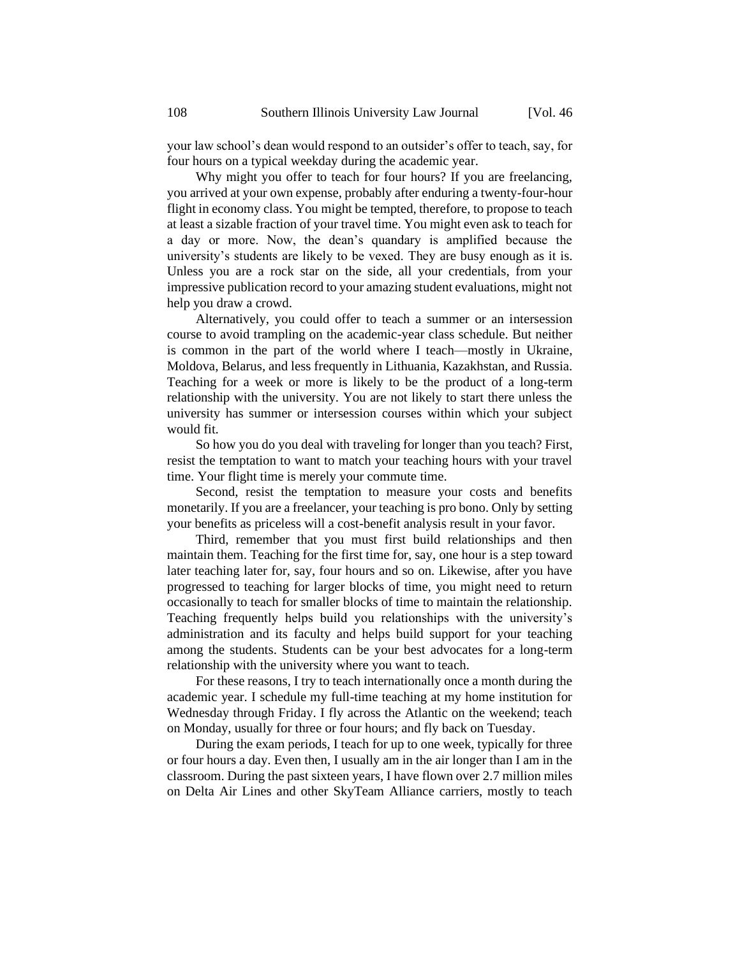your law school's dean would respond to an outsider's offer to teach, say, for four hours on a typical weekday during the academic year.

Why might you offer to teach for four hours? If you are freelancing, you arrived at your own expense, probably after enduring a twenty-four-hour flight in economy class. You might be tempted, therefore, to propose to teach at least a sizable fraction of your travel time. You might even ask to teach for a day or more. Now, the dean's quandary is amplified because the university's students are likely to be vexed. They are busy enough as it is. Unless you are a rock star on the side, all your credentials, from your impressive publication record to your amazing student evaluations, might not help you draw a crowd.

Alternatively, you could offer to teach a summer or an intersession course to avoid trampling on the academic-year class schedule. But neither is common in the part of the world where I teach—mostly in Ukraine, Moldova, Belarus, and less frequently in Lithuania, Kazakhstan, and Russia. Teaching for a week or more is likely to be the product of a long-term relationship with the university. You are not likely to start there unless the university has summer or intersession courses within which your subject would fit.

So how you do you deal with traveling for longer than you teach? First, resist the temptation to want to match your teaching hours with your travel time. Your flight time is merely your commute time.

Second, resist the temptation to measure your costs and benefits monetarily. If you are a freelancer, your teaching is pro bono. Only by setting your benefits as priceless will a cost-benefit analysis result in your favor.

Third, remember that you must first build relationships and then maintain them. Teaching for the first time for, say, one hour is a step toward later teaching later for, say, four hours and so on. Likewise, after you have progressed to teaching for larger blocks of time, you might need to return occasionally to teach for smaller blocks of time to maintain the relationship. Teaching frequently helps build you relationships with the university's administration and its faculty and helps build support for your teaching among the students. Students can be your best advocates for a long-term relationship with the university where you want to teach.

For these reasons, I try to teach internationally once a month during the academic year. I schedule my full-time teaching at my home institution for Wednesday through Friday. I fly across the Atlantic on the weekend; teach on Monday, usually for three or four hours; and fly back on Tuesday.

During the exam periods, I teach for up to one week, typically for three or four hours a day. Even then, I usually am in the air longer than I am in the classroom. During the past sixteen years, I have flown over 2.7 million miles on Delta Air Lines and other SkyTeam Alliance carriers, mostly to teach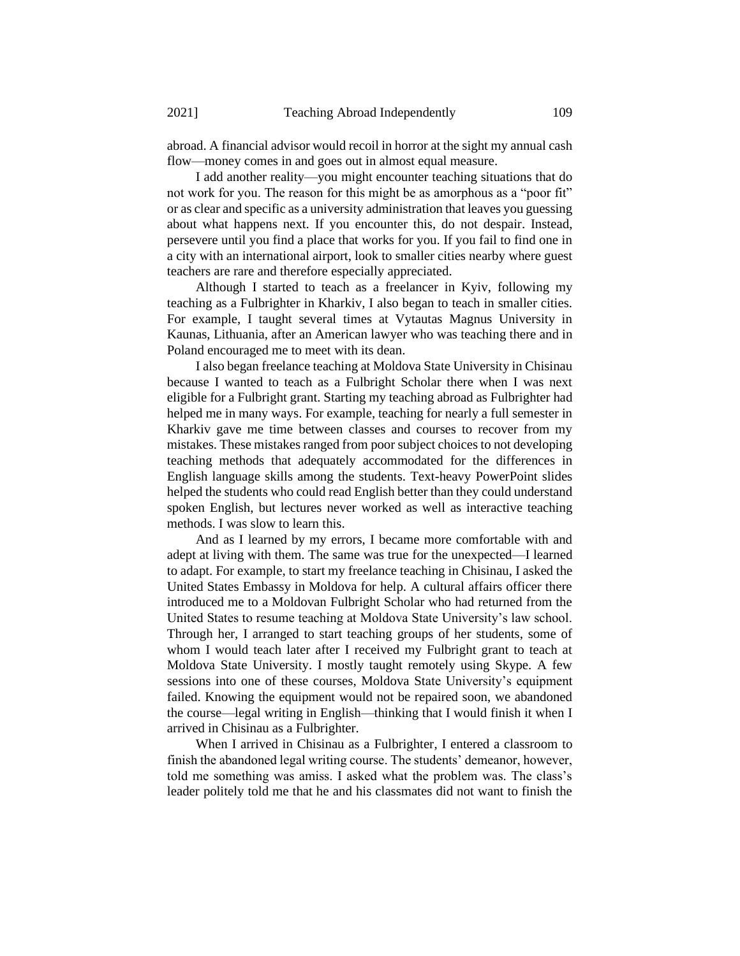abroad. A financial advisor would recoil in horror at the sight my annual cash flow—money comes in and goes out in almost equal measure.

I add another reality—you might encounter teaching situations that do not work for you. The reason for this might be as amorphous as a "poor fit" or as clear and specific as a university administration that leaves you guessing about what happens next. If you encounter this, do not despair. Instead, persevere until you find a place that works for you. If you fail to find one in a city with an international airport, look to smaller cities nearby where guest teachers are rare and therefore especially appreciated.

Although I started to teach as a freelancer in Kyiv, following my teaching as a Fulbrighter in Kharkiv, I also began to teach in smaller cities. For example, I taught several times at Vytautas Magnus University in Kaunas, Lithuania, after an American lawyer who was teaching there and in Poland encouraged me to meet with its dean.

I also began freelance teaching at Moldova State University in Chisinau because I wanted to teach as a Fulbright Scholar there when I was next eligible for a Fulbright grant. Starting my teaching abroad as Fulbrighter had helped me in many ways. For example, teaching for nearly a full semester in Kharkiv gave me time between classes and courses to recover from my mistakes. These mistakes ranged from poor subject choices to not developing teaching methods that adequately accommodated for the differences in English language skills among the students. Text-heavy PowerPoint slides helped the students who could read English better than they could understand spoken English, but lectures never worked as well as interactive teaching methods. I was slow to learn this.

And as I learned by my errors, I became more comfortable with and adept at living with them. The same was true for the unexpected—I learned to adapt. For example, to start my freelance teaching in Chisinau, I asked the United States Embassy in Moldova for help. A cultural affairs officer there introduced me to a Moldovan Fulbright Scholar who had returned from the United States to resume teaching at Moldova State University's law school. Through her, I arranged to start teaching groups of her students, some of whom I would teach later after I received my Fulbright grant to teach at Moldova State University. I mostly taught remotely using Skype. A few sessions into one of these courses, Moldova State University's equipment failed. Knowing the equipment would not be repaired soon, we abandoned the course—legal writing in English—thinking that I would finish it when I arrived in Chisinau as a Fulbrighter.

When I arrived in Chisinau as a Fulbrighter, I entered a classroom to finish the abandoned legal writing course. The students' demeanor, however, told me something was amiss. I asked what the problem was. The class's leader politely told me that he and his classmates did not want to finish the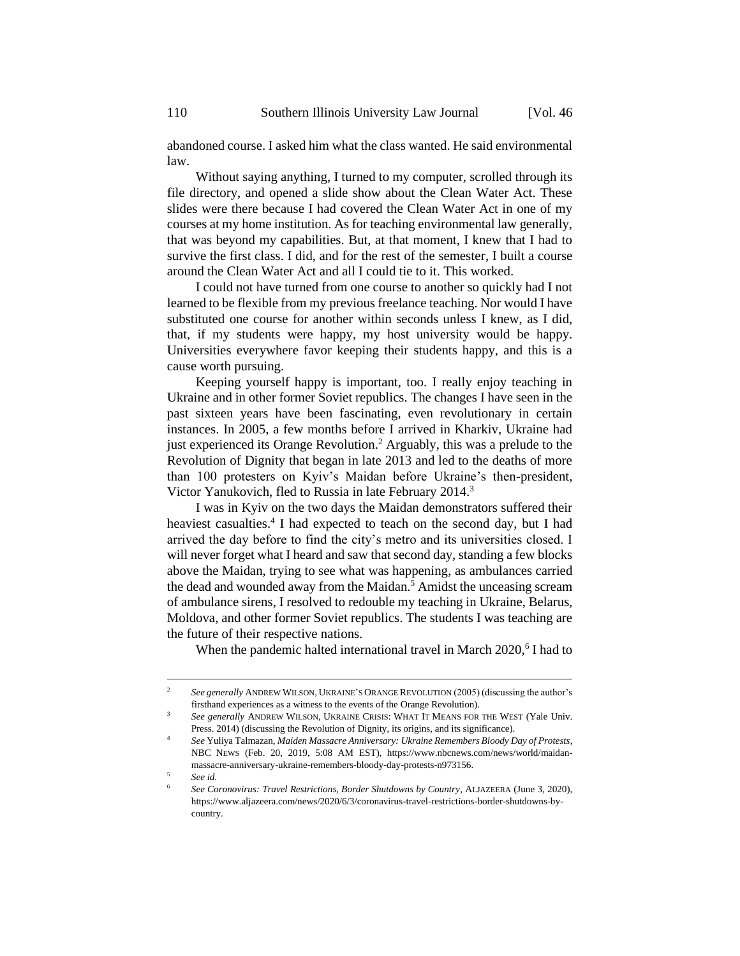abandoned course. I asked him what the class wanted. He said environmental law.

Without saying anything, I turned to my computer, scrolled through its file directory, and opened a slide show about the Clean Water Act. These slides were there because I had covered the Clean Water Act in one of my courses at my home institution. As for teaching environmental law generally, that was beyond my capabilities. But, at that moment, I knew that I had to survive the first class. I did, and for the rest of the semester, I built a course around the Clean Water Act and all I could tie to it. This worked.

I could not have turned from one course to another so quickly had I not learned to be flexible from my previous freelance teaching. Nor would I have substituted one course for another within seconds unless I knew, as I did, that, if my students were happy, my host university would be happy. Universities everywhere favor keeping their students happy, and this is a cause worth pursuing.

Keeping yourself happy is important, too. I really enjoy teaching in Ukraine and in other former Soviet republics. The changes I have seen in the past sixteen years have been fascinating, even revolutionary in certain instances. In 2005, a few months before I arrived in Kharkiv, Ukraine had just experienced its Orange Revolution.<sup>2</sup> Arguably, this was a prelude to the Revolution of Dignity that began in late 2013 and led to the deaths of more than 100 protesters on Kyiv's Maidan before Ukraine's then-president, Victor Yanukovich, fled to Russia in late February 2014.<sup>3</sup>

I was in Kyiv on the two days the Maidan demonstrators suffered their heaviest casualties.<sup>4</sup> I had expected to teach on the second day, but I had arrived the day before to find the city's metro and its universities closed. I will never forget what I heard and saw that second day, standing a few blocks above the Maidan, trying to see what was happening, as ambulances carried the dead and wounded away from the Maidan.<sup>5</sup> Amidst the unceasing scream of ambulance sirens, I resolved to redouble my teaching in Ukraine, Belarus, Moldova, and other former Soviet republics. The students I was teaching are the future of their respective nations.

When the pandemic halted international travel in March 2020,<sup>6</sup> I had to

<sup>&</sup>lt;sup>2</sup> *See generally ANDREW WILSON, UKRAINE'S ORANGE REVOLUTION (2005) (discussing the author's* firsthand experiences as a witness to the events of the Orange Revolution).

<sup>3</sup> *See generally* ANDREW WILSON, UKRAINE CRISIS: WHAT IT MEANS FOR THE WEST (Yale Univ. Press. 2014) (discussing the Revolution of Dignity, its origins, and its significance).

<sup>4</sup> *See* Yuliya Talmazan, *Maiden Massacre Anniversary: Ukraine Remembers Bloody Day of Protests*, NBC NEWS (Feb. 20, 2019, 5:08 AM EST), https://www.nbcnews.com/news/world/maidanmassacre-anniversary-ukraine-remembers-bloody-day-protests-n973156.

<sup>5</sup> *See id.*

<sup>6</sup> *See Coronovirus: Travel Restrictions, Border Shutdowns by Country*, ALJAZEERA (June 3, 2020), https://www.aljazeera.com/news/2020/6/3/coronavirus-travel-restrictions-border-shutdowns-bycountry.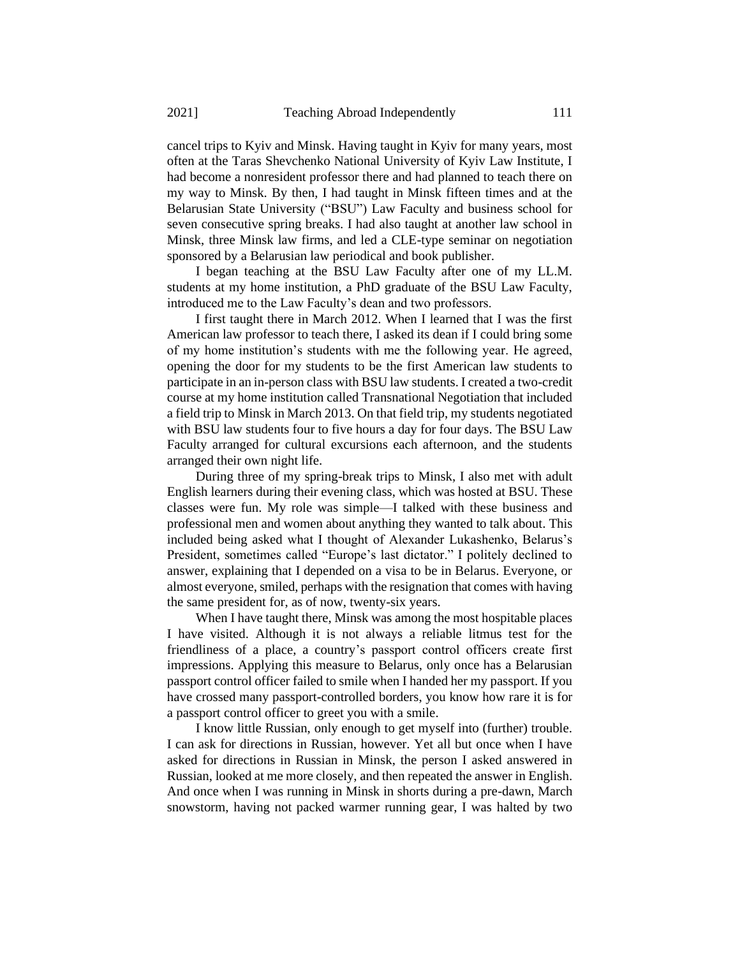cancel trips to Kyiv and Minsk. Having taught in Kyiv for many years, most often at the Taras Shevchenko National University of Kyiv Law Institute, I had become a nonresident professor there and had planned to teach there on my way to Minsk. By then, I had taught in Minsk fifteen times and at the Belarusian State University ("BSU") Law Faculty and business school for seven consecutive spring breaks. I had also taught at another law school in Minsk, three Minsk law firms, and led a CLE-type seminar on negotiation sponsored by a Belarusian law periodical and book publisher.

I began teaching at the BSU Law Faculty after one of my LL.M. students at my home institution, a PhD graduate of the BSU Law Faculty, introduced me to the Law Faculty's dean and two professors.

I first taught there in March 2012. When I learned that I was the first American law professor to teach there, I asked its dean if I could bring some of my home institution's students with me the following year. He agreed, opening the door for my students to be the first American law students to participate in an in-person class with BSU law students. I created a two-credit course at my home institution called Transnational Negotiation that included a field trip to Minsk in March 2013. On that field trip, my students negotiated with BSU law students four to five hours a day for four days. The BSU Law Faculty arranged for cultural excursions each afternoon, and the students arranged their own night life.

During three of my spring-break trips to Minsk, I also met with adult English learners during their evening class, which was hosted at BSU. These classes were fun. My role was simple—I talked with these business and professional men and women about anything they wanted to talk about. This included being asked what I thought of Alexander Lukashenko, Belarus's President, sometimes called "Europe's last dictator." I politely declined to answer, explaining that I depended on a visa to be in Belarus. Everyone, or almost everyone, smiled, perhaps with the resignation that comes with having the same president for, as of now, twenty-six years.

When I have taught there, Minsk was among the most hospitable places I have visited. Although it is not always a reliable litmus test for the friendliness of a place, a country's passport control officers create first impressions. Applying this measure to Belarus, only once has a Belarusian passport control officer failed to smile when I handed her my passport. If you have crossed many passport-controlled borders, you know how rare it is for a passport control officer to greet you with a smile.

I know little Russian, only enough to get myself into (further) trouble. I can ask for directions in Russian, however. Yet all but once when I have asked for directions in Russian in Minsk, the person I asked answered in Russian, looked at me more closely, and then repeated the answer in English. And once when I was running in Minsk in shorts during a pre-dawn, March snowstorm, having not packed warmer running gear, I was halted by two